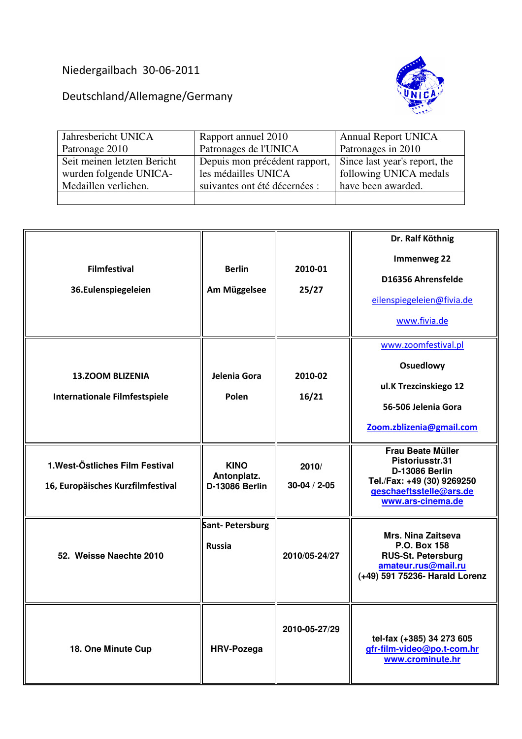## Niedergailbach 30-06-2011

Deutschland/Allemagne/Germany



| Jahresbericht UNICA         | Rapport annuel 2010                                         | <b>Annual Report UNICA</b> |
|-----------------------------|-------------------------------------------------------------|----------------------------|
| Patronage 2010              | Patronages de l'UNICA                                       | Patronages in 2010         |
| Seit meinen letzten Bericht | Depuis mon précédent rapport, Since last year's report, the |                            |
| wurden folgende UNICA-      | les médailles UNICA                                         | following UNICA medals     |
| Medaillen verliehen.        | suivantes ont été décernées :                               | have been awarded.         |
|                             |                                                             |                            |

| <b>Filmfestival</b><br>36.Eulenspiegeleien                           | <b>Berlin</b><br>Am Müggelsee                | 2010-01<br>25/27            | Dr. Ralf Köthnig<br><b>Immenweg 22</b><br>D16356 Ahrensfelde<br>eilenspiegeleien@fivia.de<br>www.fivia.de                                          |
|----------------------------------------------------------------------|----------------------------------------------|-----------------------------|----------------------------------------------------------------------------------------------------------------------------------------------------|
| <b>13.ZOOM BLIZENIA</b><br><b>Internationale Filmfestspiele</b>      | Jelenia Gora<br>Polen                        | 2010-02<br>16/21            | www.zoomfestival.pl<br>Osuedlowy<br>ul.K Trezcinskiego 12<br>56-506 Jelenia Gora<br>Zoom.zblizenia@gmail.com                                       |
| 1. West-Östliches Film Festival<br>16, Europäisches Kurzfilmfestival | <b>KINO</b><br>Antonplatz.<br>D-13086 Berlin | 2010/<br>$30 - 04 / 2 - 05$ | <b>Frau Beate Müller</b><br>Pistoriusstr.31<br><b>D-13086 Berlin</b><br>Tel./Fax: +49 (30) 9269250<br>geschaeftsstelle@ars.de<br>www.ars-cinema.de |
| 52. Weisse Naechte 2010                                              | Sant-Petersburg<br><b>Russia</b>             | 2010/05-24/27               | <b>Mrs. Nina Zaitseva</b><br>P.O. Box 158<br><b>RUS-St. Petersburg</b><br>amateur.rus@mail.ru<br>(+49) 591 75236- Harald Lorenz                    |
| 18. One Minute Cup                                                   | <b>HRV-Pozega</b>                            | 2010-05-27/29               | tel-fax (+385) 34 273 605<br>gfr-film-video@po.t-com.hr<br>www.crominute.hr                                                                        |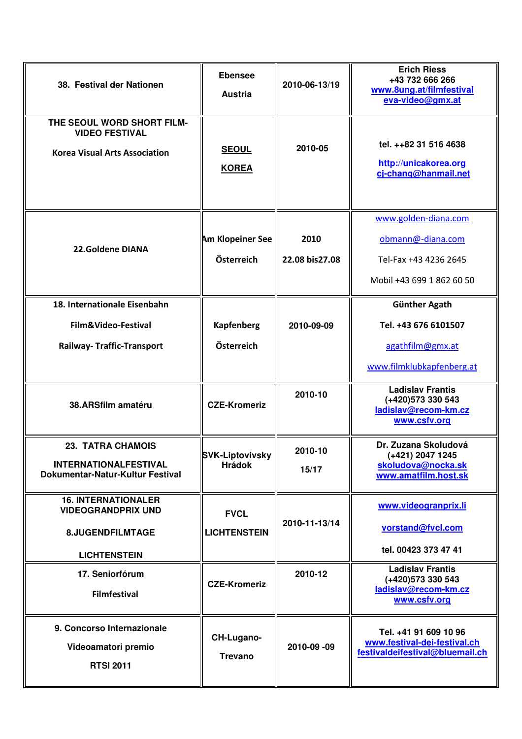| 38. Festival der Nationen                                                                          | <b>Ebensee</b><br><b>Austria</b>        | 2010-06-13/19          | <b>Erich Riess</b><br>+43 732 666 266<br>www.8ung.at/filmfestival<br>eva-video@gmx.at           |
|----------------------------------------------------------------------------------------------------|-----------------------------------------|------------------------|-------------------------------------------------------------------------------------------------|
| THE SEOUL WORD SHORT FILM-<br><b>VIDEO FESTIVAL</b><br><b>Korea Visual Arts Association</b>        | <b>SEOUL</b><br><b>KOREA</b>            | 2010-05                | tel. ++82 31 516 4638<br>http://unicakorea.org<br>cj-chang@hanmail.net                          |
| 22.Goldene DIANA                                                                                   | <b>Am Klopeiner See</b><br>Österreich   | 2010<br>22.08 bis27.08 | www.golden-diana.com<br>obmann@-diana.com<br>Tel-Fax +43 4236 2645<br>Mobil +43 699 1 862 60 50 |
| 18. Internationale Eisenbahn<br>Film&Video-Festival<br><b>Railway- Traffic-Transport</b>           | Kapfenberg<br>Österreich                | 2010-09-09             | <b>Günther Agath</b><br>Tel. +43 676 6101507<br>agathfilm@gmx.at<br>www.filmklubkapfenberg.at   |
| 38.ARSfilm amatéru                                                                                 | <b>CZE-Kromeriz</b>                     | 2010-10                | <b>Ladislav Frantis</b><br>(+420) 573 330 543<br>ladislav@recom-km.cz<br>www.csfv.org           |
| <b>23. TATRA CHAMOIS</b><br><b>INTERNATIONALFESTIVAL</b><br>Dokumentar-Natur-Kultur Festival       | <b>SVK-Liptovivsky</b><br><b>Hrádok</b> | 2010-10<br>15/17       | Dr. Zuzana Skoludová<br>(+421) 2047 1245<br>skoludova@nocka.sk<br>www.amatfilm.host.sk          |
| <b>16. INTERNATIONALER</b><br><b>VIDEOGRANDPRIX UND</b><br>8.JUGENDFILMTAGE<br><b>LICHTENSTEIN</b> | <b>FVCL</b><br><b>LICHTENSTEIN</b>      | 2010-11-13/14          | www.videogranprix.li<br>vorstand@fvcl.com<br>tel. 00423 373 47 41                               |
| 17. Seniorfórum<br><b>Filmfestival</b>                                                             | <b>CZE-Kromeriz</b>                     | 2010-12                | <b>Ladislav Frantis</b><br>(+420) 573 330 543<br>ladislav@recom-km.cz<br>www.csfv.org           |
| 9. Concorso Internazionale<br>Videoamatori premio<br><b>RTSI 2011</b>                              | CH-Lugano-<br><b>Trevano</b>            | 2010-09 -09            | Tel. +41 91 609 10 96<br>www.festival-dei-festival.ch<br>festivaldeifestival@bluemail.ch        |